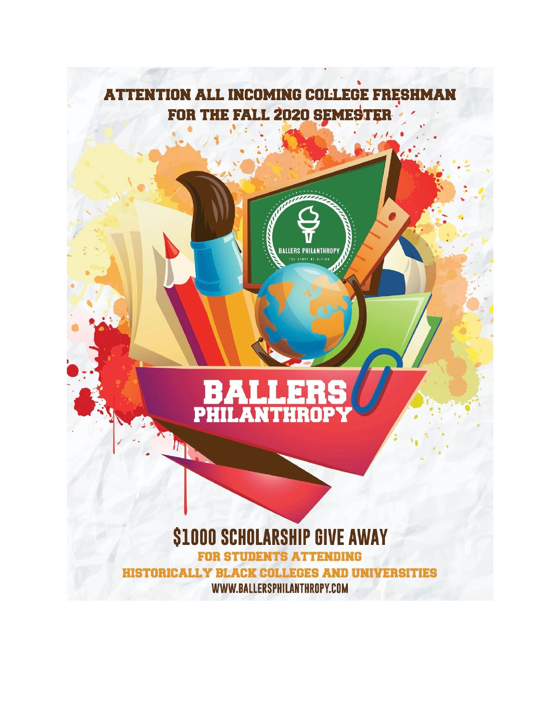# **ATTENTION ALL INCOMING COLLEGE FRESHMAN** FOR THE FALL 2020 SEMESTER

**ALLERS PHILANTHROPY** .<br>IE SPART AF GIV



 $\eta$ 

## *<u>\$1000 SCHOLARSHIP GIVE AWAY</u>* **FOR STUDENTS ATTENDING**

HISTORICALLY BLACK COLLEGES AND UNIVERSITIES WWW.BALLERSPHILANTHROPY.COM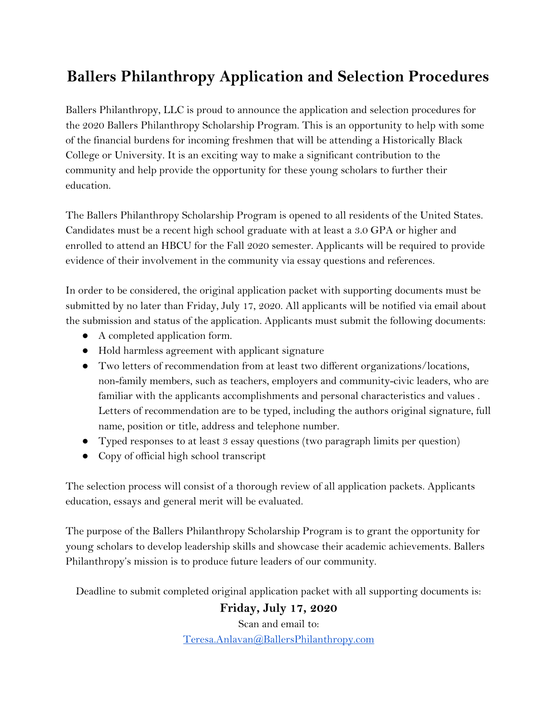## **Ballers Philanthropy Application and Selection Procedures**

Ballers Philanthropy, LLC is proud to announce the application and selection procedures for the 2020 Ballers Philanthropy Scholarship Program. This is an opportunity to help with some of the financial burdens for incoming freshmen that will be attending a Historically Black College or University. It is an exciting way to make a significant contribution to the community and help provide the opportunity for these young scholars to further their education.

The Ballers Philanthropy Scholarship Program is opened to all residents of the United States. Candidates must be a recent high school graduate with at least a 3.0 GPA or higher and enrolled to attend an HBCU for the Fall 2020 semester. Applicants will be required to provide evidence of their involvement in the community via essay questions and references.

In order to be considered, the original application packet with supporting documents must be submitted by no later than Friday, July 17, 2020. All applicants will be notified via email about the submission and status of the application. Applicants must submit the following documents:

- A completed application form.
- Hold harmless agreement with applicant signature
- Two letters of recommendation from at least two different organizations/locations, non-family members, such as teachers, employers and community-civic leaders, who are familiar with the applicants accomplishments and personal characteristics and values . Letters of recommendation are to be typed, including the authors original signature, full name, position or title, address and telephone number.
- Typed responses to at least 3 essay questions (two paragraph limits per question)
- Copy of official high school transcript

The selection process will consist of a thorough review of all application packets. Applicants education, essays and general merit will be evaluated.

The purpose of the Ballers Philanthropy Scholarship Program is to grant the opportunity for young scholars to develop leadership skills and showcase their academic achievements. Ballers Philanthropy's mission is to produce future leaders of our community.

Deadline to submit completed original application packet with all supporting documents is:

## **Friday, July 17, 2020**

Scan and email to: [Teresa.Anlavan@BallersPhilanthropy.com](mailto:Teresa.Anlavan@BallersPhilanthropy.com)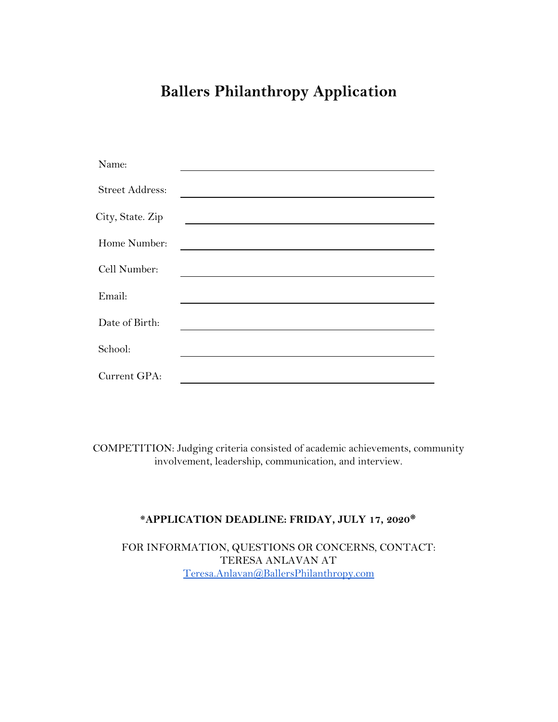## **Ballers Philanthropy Application**

| Name:                  |  |
|------------------------|--|
| <b>Street Address:</b> |  |
| City, State. Zip       |  |
| Home Number:           |  |
| Cell Number:           |  |
| Email:                 |  |
| Date of Birth:         |  |
| School:                |  |
| Current GPA:           |  |
|                        |  |

COMPETITION: Judging criteria consisted of academic achievements, community involvement, leadership, communication, and interview.

### **\*APPLICATION DEADLINE: FRIDAY, JULY 17, 2020\***

FOR INFORMATION, QUESTIONS OR CONCERNS, CONTACT: TERESA ANLAVAN AT [Teresa.Anlavan@BallersPhilanthropy.com](mailto:Teresa.Anlavan@BallersPhilanthropy.com)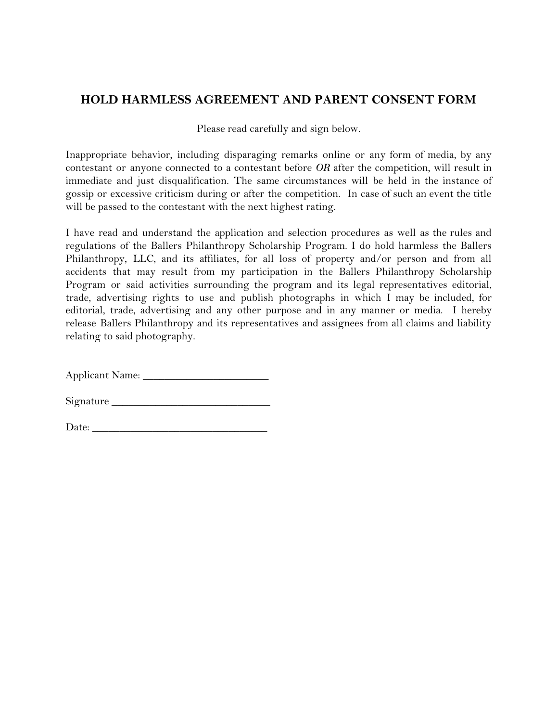## **HOLD HARMLESS AGREEMENT AND PARENT CONSENT FORM**

Please read carefully and sign below.

Inappropriate behavior, including disparaging remarks online or any form of media, by any contestant or anyone connected to a contestant before *OR* after the competition, will result in immediate and just disqualification. The same circumstances will be held in the instance of gossip or excessive criticism during or after the competition. In case of such an event the title will be passed to the contestant with the next highest rating.

I have read and understand the application and selection procedures as well as the rules and regulations of the Ballers Philanthropy Scholarship Program. I do hold harmless the Ballers Philanthropy, LLC, and its affiliates, for all loss of property and/or person and from all accidents that may result from my participation in the Ballers Philanthropy Scholarship Program or said activities surrounding the program and its legal representatives editorial, trade, advertising rights to use and publish photographs in which I may be included, for editorial, trade, advertising and any other purpose and in any manner or media. I hereby release Ballers Philanthropy and its representatives and assignees from all claims and liability relating to said photography.

Applicant Name: \_\_\_\_\_\_\_\_\_\_\_\_\_\_\_\_\_\_\_\_\_\_\_

Signature \_\_\_\_\_\_\_\_\_\_\_\_\_\_\_\_\_\_\_\_\_\_\_\_\_\_\_\_\_